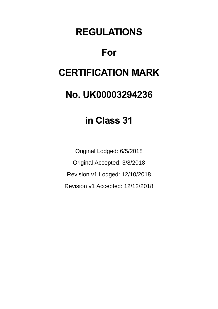# **REGULATIONS**

# **For**

# **CERTIFICATION MARK**

# **No. UK00003294236**

# **in Class 31**

Original Lodged: 6/5/2018 Original Accepted: 3/8/2018 Revision v1 Lodged: 12/10/2018 Revision v1 Accepted: 12/12/2018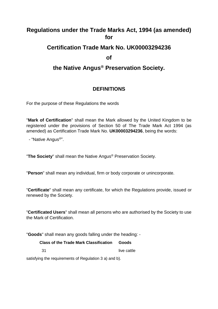# **Regulations under the Trade Marks Act, 1994 (as amended) for**

## **Certification Trade Mark No. UK00003294236**

**of**

# **the Native Angus® Preservation Society.**

## **DEFINITIONS**

For the purpose of these Regulations the words

"**Mark of Certification**" shall mean the Mark allowed by the United Kingdom to be registered under the provisions of Section 50 of The Trade Mark Act 1994 (as amended) as Certification Trade Mark No. **UK00003294236**, being the words:

- "Native Angus®".

"**The Society**" shall mean the Native Angus® Preservation Society.

"**Person**" shall mean any individual, firm or body corporate or unincorporate.

"**Certificate**" shall mean any certificate, for which the Regulations provide, issued or renewed by the Society.

"**Certificated Users**" shall mean all persons who are authorised by the Society to use the Mark of Certification.

"**Goods**" shall mean any goods falling under the heading: -

#### **Class of the Trade Mark Classification Goods**

31 live cattle

satisfying the requirements of Regulation 3 a) and b).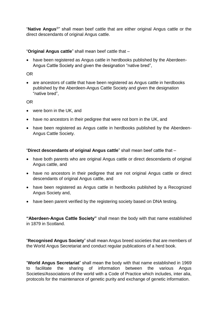"**Native Angus**®" shall mean beef cattle that are either original Angus cattle or the direct descendants of original Angus cattle.

#### "**Original Angus cattle**" shall mean beef cattle that –

• have been registered as Angus cattle in herdbooks published by the Aberdeen-Angus Cattle Society and given the designation "native bred",

#### OR

• are ancestors of cattle that have been registered as Angus cattle in herdbooks published by the Aberdeen-Angus Cattle Society and given the designation "native bred",

#### OR

- were born in the UK, and
- have no ancestors in their pedigree that were not born in the UK, and
- have been registered as Angus cattle in herdbooks published by the Aberdeen-Angus Cattle Society.

"**Direct descendants of original Angus cattle**" shall mean beef cattle that –

- have both parents who are original Angus cattle or direct descendants of original Angus cattle, and
- have no ancestors in their pedigree that are not original Angus cattle or direct descendants of original Angus cattle, and
- have been registered as Angus cattle in herdbooks published by a Recognized Angus Society and,
- have been parent verified by the registering society based on DNA testing.

**"Aberdeen-Angus Cattle Society"** shall mean the body with that name established in 1879 in Scotland.

"**Recognised Angus Society**" shall mean Angus breed societies that are members of the World Angus Secretariat and conduct regular publications of a herd book.

"**World Angus Secretariat**" shall mean the body with that name established in 1969 to facilitate the sharing of information between the various Angus Societies/Associations of the world with a Code of Practice which includes, inter alia, protocols for the maintenance of genetic purity and exchange of genetic information.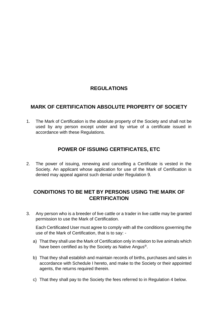## **REGULATIONS**

#### **MARK OF CERTIFICATION ABSOLUTE PROPERTY OF SOCIETY**

1. The Mark of Certification is the absolute property of the Society and shall not be used by any person except under and by virtue of a certificate issued in accordance with these Regulations.

## **POWER OF ISSUING CERTIFICATES, ETC**

2. The power of issuing, renewing and cancelling a Certificate is vested in the Society. An applicant whose application for use of the Mark of Certification is denied may appeal against such denial under Regulation 9.

### **CONDITIONS TO BE MET BY PERSONS USING THE MARK OF CERTIFICATION**

3. Any person who is a breeder of live cattle or a trader in live cattle may be granted permission to use the Mark of Certification.

Each Certificated User must agree to comply with all the conditions governing the use of the Mark of Certification, that is to say: -

- a) That they shall use the Mark of Certification only in relation to live animals which have been certified as by the Society as Native Angus®.
- b) That they shall establish and maintain records of births, purchases and sales in accordance with Schedule I hereto, and make to the Society or their appointed agents, the returns required therein.
- c) That they shall pay to the Society the fees referred to in Regulation 4 below.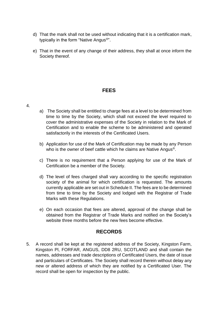- d) That the mark shall not be used without indicating that it is a certification mark, typically in the form "Native Angus®".
- e) That in the event of any change of their address, they shall at once inform the Society thereof.

#### **FEES**

- 4.
- a) The Society shall be entitled to charge fees at a level to be determined from time to time by the Society, which shall not exceed the level required to cover the administrative expenses of the Society in relation to the Mark of Certification and to enable the scheme to be administered and operated satisfactorily in the interests of the Certificated Users.
- b) Application for use of the Mark of Certification may be made by any Person who is the owner of beef cattle which he claims are Native Angus®.
- c) There is no requirement that a Person applying for use of the Mark of Certification be a member of the Society.
- d) The level of fees charged shall vary according to the specific registration society of the animal for which certification is requested. The amounts currently applicable are set out in Schedule II. The fees are to be determined from time to time by the Society and lodged with the Registrar of Trade Marks with these Regulations.
- e) On each occasion that fees are altered, approval of the change shall be obtained from the Registrar of Trade Marks and notified on the Society's website three months before the new fees become effective.

#### **RECORDS**

5. A record shall be kept at the registered address of the Society, Kingston Farm, Kingston Pl, FORFAR, ANGUS, DD8 2RU, SCOTLAND and shall contain the names, addresses and trade descriptions of Certificated Users, the date of issue and particulars of Certificates. The Society shall record therein without delay any new or altered address of which they are notified by a Certificated User. The record shall be open for inspection by the public.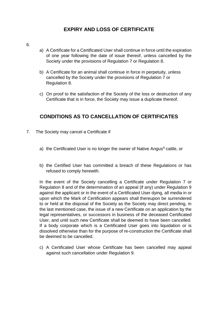### **EXPIRY AND LOSS OF CERTIFICATE**

- 6.
- a) A Certificate for a Certificated User shall continue in force until the expiration of one year following the date of issue thereof, unless cancelled by the Society under the provisions of Regulation 7 or Regulation 8.
- b) A Certificate for an animal shall continue in force in perpetuity, unless cancelled by the Society under the provisions of Regulation 7 or Regulation 8.
- c) On proof to the satisfaction of the Society of the loss or destruction of any Certificate that is in force, the Society may issue a duplicate thereof.

#### **CONDITIONS AS TO CANCELLATION OF CERTIFICATES**

- 7. The Society may cancel a Certificate if
	- a) the Certificated User is no longer the owner of Native Angus® cattle, or
	- b) the Certified User has committed a breach of these Regulations or has refused to comply herewith.

In the event of the Society cancelling a Certificate under Regulation 7 or Regulation 8 and of the determination of an appeal (if any) under Regulation 9 against the applicant or in the event of a Certificated User dying, all media in or upon which the Mark of Certification appears shall thereupon be surrendered to or held at the disposal of the Society as the Society may direct pending, in the last mentioned case, the issue of a new Certificate on an application by the legal representatives, or successors in business of the deceased Certificated User, and until such new Certificate shall be deemed to have been cancelled. If a body corporate which is a Certificated User goes into liquidation or is dissolved otherwise than for the purpose of re-construction the Certificate shall be deemed to be cancelled.

c) A Certificated User whose Certificate has been cancelled may appeal against such cancellation under Regulation 9.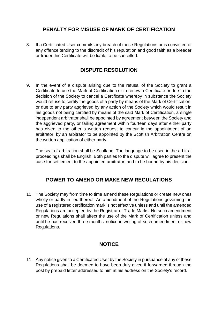#### **PENALTY FOR MISUSE OF MARK OF CERTIFICATION**

8. If a Certificated User commits any breach of these Regulations or is convicted of any offence tending to the discredit of his reputation and good faith as a breeder or trader, his Certificate will be liable to be cancelled.

#### **DISPUTE RESOLUTION**

9. In the event of a dispute arising due to the refusal of the Society to grant a Certificate to use the Mark of Certification or to renew a Certificate or due to the decision of the Society to cancel a Certificate whereby in substance the Society would refuse to certify the goods of a party by means of the Mark of Certification, or due to any party aggrieved by any action of the Society which would result in his goods not being certified by means of the said Mark of Certification, a single independent arbitrator shall be appointed by agreement between the Society and the aggrieved party, or failing agreement within fourteen days after either party has given to the other a written request to concur in the appointment of an arbitrator, by an arbitrator to be appointed by the Scottish Arbitration Centre on the written application of either party.

The seat of arbitration shall be Scotland. The language to be used in the arbitral proceedings shall be English. Both parties to the dispute will agree to present the case for settlement to the appointed arbitrator, and to be bound by his decision.

#### **POWER TO AMEND OR MAKE NEW REGULATIONS**

10. The Society may from time to time amend these Regulations or create new ones wholly or partly in lieu thereof. An amendment of the Regulations governing the use of a registered certification mark is not effective unless and until the amended Regulations are accepted by the Registrar of Trade Marks. No such amendment or new Regulations shall affect the use of the Mark of Certification unless and until he has received three months' notice in writing of such amendment or new Regulations.

#### **NOTICE**

11. Any notice given to a Certificated User by the Society in pursuance of any of these Regulations shall be deemed to have been duly given if forwarded through the post by prepaid letter addressed to him at his address on the Society's record.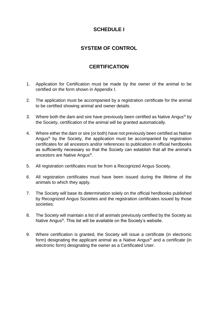### **SCHEDULE I**

### **SYSTEM OF CONTROL**

#### **CERTIFICATION**

- 1. Application for Certification must be made by the owner of the animal to be certified on the form shown in Appendix I.
- 2. The application must be accompanied by a registration certificate for the animal to be certified showing animal and owner details.
- 3. Where both the dam and sire have previously been certified as Native Angus<sup>®</sup> by the Society, certification of the animal will be granted automatically.
- 4. Where either the dam or sire (or both) have not previously been certified as Native Angus<sup>®</sup> by the Society, the application must be accompanied by registration certificates for all ancestors and/or references to publication in official herdbooks as sufficiently necessary so that the Society can establish that all the animal's ancestors are Native Angus®.
- 5. All registration certificates must be from a Recognized Angus Society.
- 6. All registration certificates must have been issued during the lifetime of the animals to which they apply.
- 7. The Society will base its determination solely on the official herdbooks published by Recognized Angus Societies and the registration certificates issued by those societies.
- 8. The Society will maintain a list of all animals previously certified by the Society as Native Angus®. This list will be available on the Society's website.
- 9. Where certification is granted, the Society will issue a certificate (in electronic form) designating the applicant animal as a Native Angus<sup>®</sup> and a certificate (in electronic form) designating the owner as a Certificated User.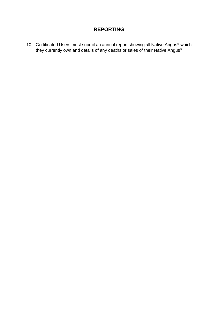#### **REPORTING**

10. Certificated Users must submit an annual report showing all Native Angus<sup>®</sup> which they currently own and details of any deaths or sales of their Native Angus®.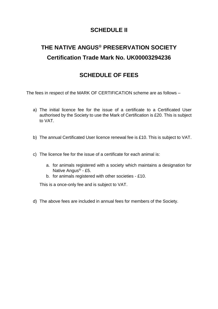## **SCHEDULE II**

# **THE NATIVE ANGUS® PRESERVATION SOCIETY Certification Trade Mark No. UK00003294236**

# **SCHEDULE OF FEES**

The fees in respect of the MARK OF CERTIFICATION scheme are as follows –

- a) The initial licence fee for the issue of a certificate to a Certificated User authorised by the Society to use the Mark of Certification is £20. This is subject to VAT.
- b) The annual Certificated User licence renewal fee is £10. This is subject to VAT.
- c) The licence fee for the issue of a certificate for each animal is:
	- a. for animals registered with a society which maintains a designation for Native Angus® - £5.
	- b. for animals registered with other societies £10.

This is a once-only fee and is subject to VAT.

d) The above fees are included in annual fees for members of the Society.